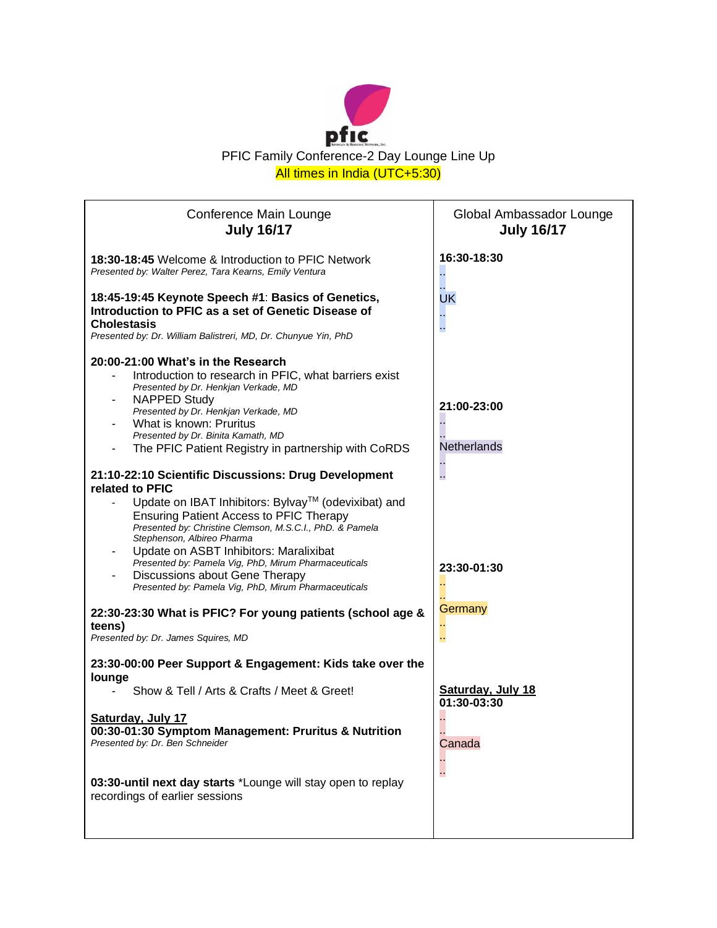

| Conference Main Lounge<br><b>July 16/17</b>                                                                                                                                                                                                                                                                                                                                                                                                                                                                                                                                           | Global Ambassador Lounge<br><b>July 16/17</b> |
|---------------------------------------------------------------------------------------------------------------------------------------------------------------------------------------------------------------------------------------------------------------------------------------------------------------------------------------------------------------------------------------------------------------------------------------------------------------------------------------------------------------------------------------------------------------------------------------|-----------------------------------------------|
| 18:30-18:45 Welcome & Introduction to PFIC Network<br>Presented by: Walter Perez, Tara Kearns, Emily Ventura                                                                                                                                                                                                                                                                                                                                                                                                                                                                          | 16:30-18:30                                   |
| 18:45-19:45 Keynote Speech #1: Basics of Genetics,<br>Introduction to PFIC as a set of Genetic Disease of<br><b>Cholestasis</b><br>Presented by: Dr. William Balistreri, MD, Dr. Chunyue Yin, PhD                                                                                                                                                                                                                                                                                                                                                                                     | UK<br>L,                                      |
| 20:00-21:00 What's in the Research<br>Introduction to research in PFIC, what barriers exist<br>Presented by Dr. Henkjan Verkade, MD<br><b>NAPPED Study</b><br>Presented by Dr. Henkjan Verkade, MD<br>What is known: Pruritus<br>Presented by Dr. Binita Kamath, MD<br>The PFIC Patient Registry in partnership with CoRDS                                                                                                                                                                                                                                                            | 21:00-23:00<br>Netherlands                    |
| 21:10-22:10 Scientific Discussions: Drug Development<br>related to PFIC<br>Update on IBAT Inhibitors: Bylvay™ (odevixibat) and<br><b>Ensuring Patient Access to PFIC Therapy</b><br>Presented by: Christine Clemson, M.S.C.I., PhD. & Pamela<br>Stephenson, Albireo Pharma<br>Update on ASBT Inhibitors: Maralixibat<br>Presented by: Pamela Vig, PhD, Mirum Pharmaceuticals<br>Discussions about Gene Therapy<br>Presented by: Pamela Vig, PhD, Mirum Pharmaceuticals<br>22:30-23:30 What is PFIC? For young patients (school age &<br>teens)<br>Presented by: Dr. James Squires, MD | 23:30-01:30<br>Germany<br>$\sim$              |
| 23:30-00:00 Peer Support & Engagement: Kids take over the<br>lounge                                                                                                                                                                                                                                                                                                                                                                                                                                                                                                                   |                                               |
| Show & Tell / Arts & Crafts / Meet & Greet!                                                                                                                                                                                                                                                                                                                                                                                                                                                                                                                                           | <b>Saturday, July 18</b><br>01:30-03:30       |
| Saturday, July 17<br>00:30-01:30 Symptom Management: Pruritus & Nutrition<br>Presented by: Dr. Ben Schneider                                                                                                                                                                                                                                                                                                                                                                                                                                                                          | Canada                                        |
| 03:30-until next day starts *Lounge will stay open to replay<br>recordings of earlier sessions                                                                                                                                                                                                                                                                                                                                                                                                                                                                                        | г.                                            |